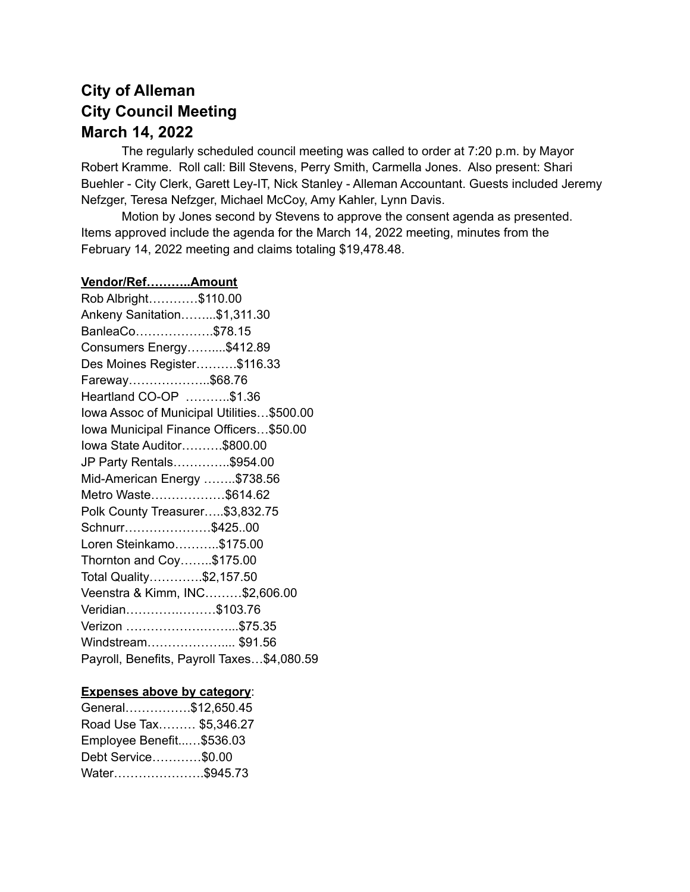## **City of Alleman City Council Meeting March 14, 2022**

The regularly scheduled council meeting was called to order at 7:20 p.m. by Mayor Robert Kramme. Roll call: Bill Stevens, Perry Smith, Carmella Jones. Also present: Shari Buehler - City Clerk, Garett Ley-IT, Nick Stanley - Alleman Accountant. Guests included Jeremy Nefzger, Teresa Nefzger, Michael McCoy, Amy Kahler, Lynn Davis.

Motion by Jones second by Stevens to approve the consent agenda as presented. Items approved include the agenda for the March 14, 2022 meeting, minutes from the February 14, 2022 meeting and claims totaling \$19,478.48.

### **Vendor/Ref………..Amount** Rob Albright…………\$110.00 Ankeny Sanitation……...\$1,311.30 BanleaCo……………….\$78.15 Consumers Energy……....\$412.89 Des Moines Register……….\$116.33 Fareway………………..\$68.76 Heartland CO-OP ………..\$1.36 Iowa Assoc of Municipal Utilities…\$500.00 Iowa Municipal Finance Officers…\$50.00 Iowa State Auditor……….\$800.00 JP Party Rentals…………..\$954.00 Mid-American Energy ……..\$738.56 Metro Waste………………\$614.62 Polk County Treasurer…..\$3,832.75 Schnurr…………………\$425..00 Loren Steinkamo………..\$175.00 Thornton and Coy……..\$175.00 Total Quality………….\$2,157.50 Veenstra & Kimm, INC………\$2,606.00 Veridian………….………\$103.76 Verizon ……………….……...\$75.35 Windstream........................... \$91.56 Payroll, Benefits, Payroll Taxes…\$4,080.59

#### **Expenses above by category**:

| General\$12,650.45       |  |
|--------------------------|--|
|                          |  |
| Road Use Tax \$5,346.27  |  |
| Employee Benefit\$536.03 |  |
| Debt Service\$0.00       |  |
| Water\$945.73            |  |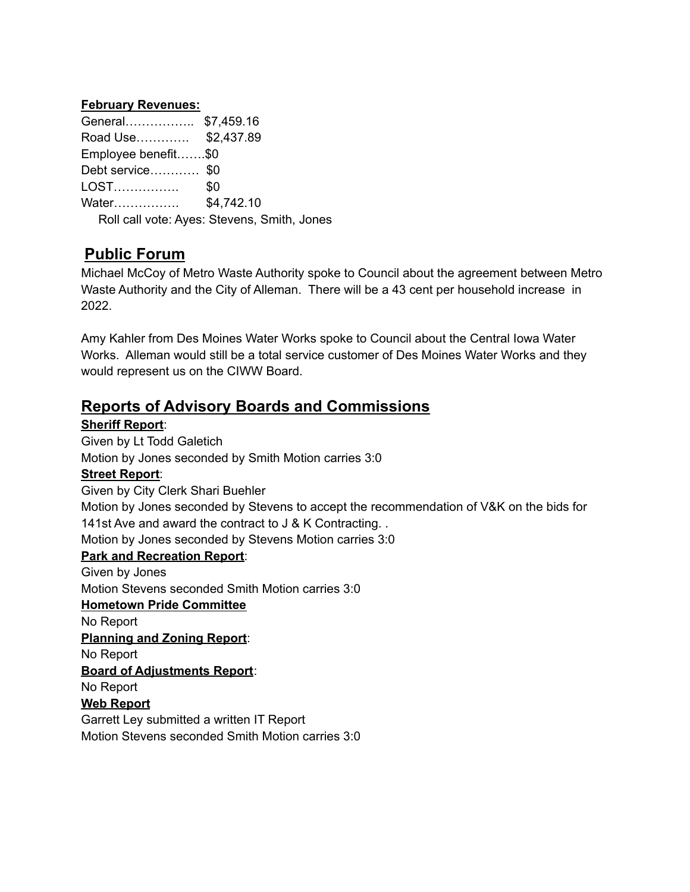#### **February Revenues:**

| General \$7,459.16                          |  |
|---------------------------------------------|--|
| Road Use \$2,437.89                         |  |
| Employee benefit\$0                         |  |
| Debt service \$0                            |  |
|                                             |  |
|                                             |  |
| Roll call vote: Ayes: Stevens, Smith, Jones |  |
|                                             |  |

## **Public Forum**

Michael McCoy of Metro Waste Authority spoke to Council about the agreement between Metro Waste Authority and the City of Alleman. There will be a 43 cent per household increase in 2022.

Amy Kahler from Des Moines Water Works spoke to Council about the Central Iowa Water Works. Alleman would still be a total service customer of Des Moines Water Works and they would represent us on the CIWW Board.

### **Reports of Advisory Boards and Commissions**

### **Sheriff Report**:

Given by Lt Todd Galetich Motion by Jones seconded by Smith Motion carries 3:0 **Street Report**: Given by City Clerk Shari Buehler Motion by Jones seconded by Stevens to accept the recommendation of V&K on the bids for 141st Ave and award the contract to J & K Contracting... Motion by Jones seconded by Stevens Motion carries 3:0 **Park and Recreation Report**: Given by Jones Motion Stevens seconded Smith Motion carries 3:0 **Hometown Pride Committee** No Report **Planning and Zoning Report**: No Report **Board of Adjustments Report**: No Report **Web Report** Garrett Ley submitted a written IT Report Motion Stevens seconded Smith Motion carries 3:0